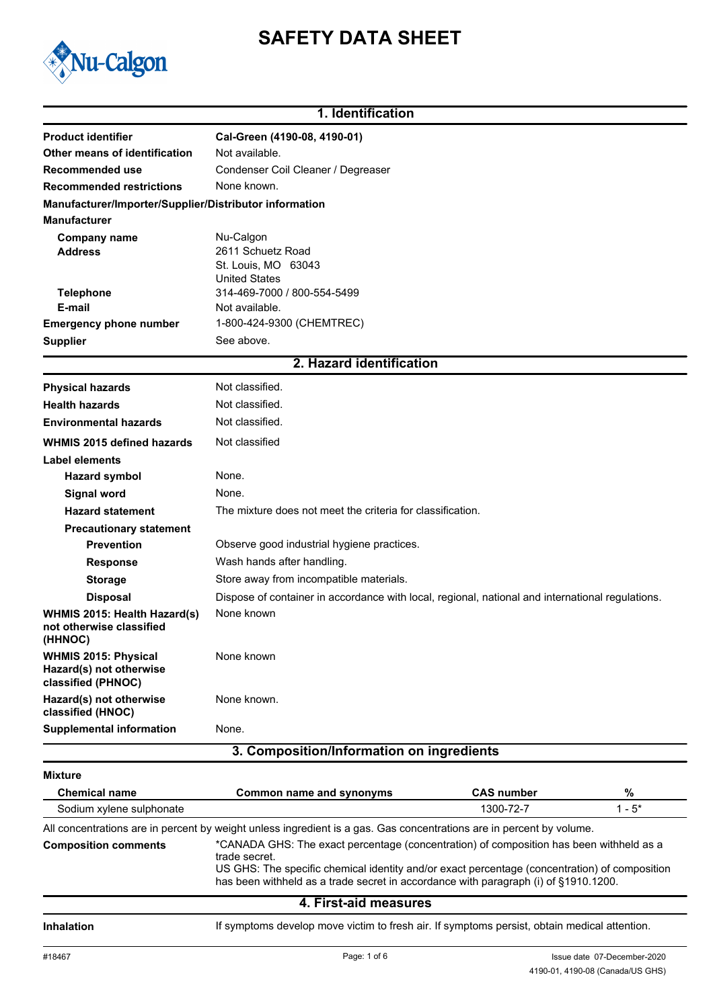# **SAFETY DATA SHEET**



# **1. Identification**

| <b>Product identifier</b>                                                    | Cal-Green (4190-08, 4190-01)                                                                     |  |  |
|------------------------------------------------------------------------------|--------------------------------------------------------------------------------------------------|--|--|
| Other means of identification                                                | Not available.                                                                                   |  |  |
| Recommended use                                                              | Condenser Coil Cleaner / Degreaser<br>None known.                                                |  |  |
| <b>Recommended restrictions</b>                                              |                                                                                                  |  |  |
| Manufacturer/Importer/Supplier/Distributor information                       |                                                                                                  |  |  |
| <b>Manufacturer</b>                                                          |                                                                                                  |  |  |
| <b>Company name</b>                                                          | Nu-Calgon                                                                                        |  |  |
| <b>Address</b>                                                               | 2611 Schuetz Road                                                                                |  |  |
|                                                                              | St. Louis, MO 63043<br><b>United States</b>                                                      |  |  |
| <b>Telephone</b>                                                             | 314-469-7000 / 800-554-5499                                                                      |  |  |
| E-mail                                                                       | Not available.                                                                                   |  |  |
| <b>Emergency phone number</b>                                                | 1-800-424-9300 (CHEMTREC)                                                                        |  |  |
| <b>Supplier</b>                                                              | See above.                                                                                       |  |  |
|                                                                              | 2. Hazard identification                                                                         |  |  |
| <b>Physical hazards</b>                                                      | Not classified.                                                                                  |  |  |
| <b>Health hazards</b>                                                        | Not classified.                                                                                  |  |  |
| <b>Environmental hazards</b>                                                 | Not classified.                                                                                  |  |  |
| <b>WHMIS 2015 defined hazards</b>                                            | Not classified                                                                                   |  |  |
| Label elements                                                               |                                                                                                  |  |  |
| <b>Hazard symbol</b>                                                         | None.                                                                                            |  |  |
| <b>Signal word</b>                                                           | None.                                                                                            |  |  |
| <b>Hazard statement</b>                                                      | The mixture does not meet the criteria for classification.                                       |  |  |
| <b>Precautionary statement</b>                                               |                                                                                                  |  |  |
| <b>Prevention</b>                                                            | Observe good industrial hygiene practices.                                                       |  |  |
| <b>Response</b>                                                              | Wash hands after handling.                                                                       |  |  |
| <b>Storage</b>                                                               | Store away from incompatible materials.                                                          |  |  |
| <b>Disposal</b>                                                              | Dispose of container in accordance with local, regional, national and international regulations. |  |  |
| WHMIS 2015: Health Hazard(s)<br>not otherwise classified<br>(HHNOC)          | None known                                                                                       |  |  |
| <b>WHMIS 2015: Physical</b><br>Hazard(s) not otherwise<br>classified (PHNOC) | None known                                                                                       |  |  |
| Hazard(s) not otherwise<br>classified (HNOC)                                 | None known.                                                                                      |  |  |
| <b>Supplemental information</b>                                              | None.                                                                                            |  |  |
|                                                                              | 3. Composition/Information on ingredients                                                        |  |  |
| <b>Mixture</b>                                                               |                                                                                                  |  |  |
| <b>Chemical name</b>                                                         | <b>CAS number</b><br>$\%$<br><b>Common name and synonyms</b>                                     |  |  |

Sodium xylene sulphonate 1300-72-7 1 - 5\* All concentrations are in percent by weight unless ingredient is a gas. Gas concentrations are in percent by volume.

\*CANADA GHS: The exact percentage (concentration) of composition has been withheld as a trade secret. US GHS: The specific chemical identity and/or exact percentage (concentration) of composition **Composition comments**

has been withheld as a trade secret in accordance with paragraph (i) of §1910.1200.

### **4. First-aid measures**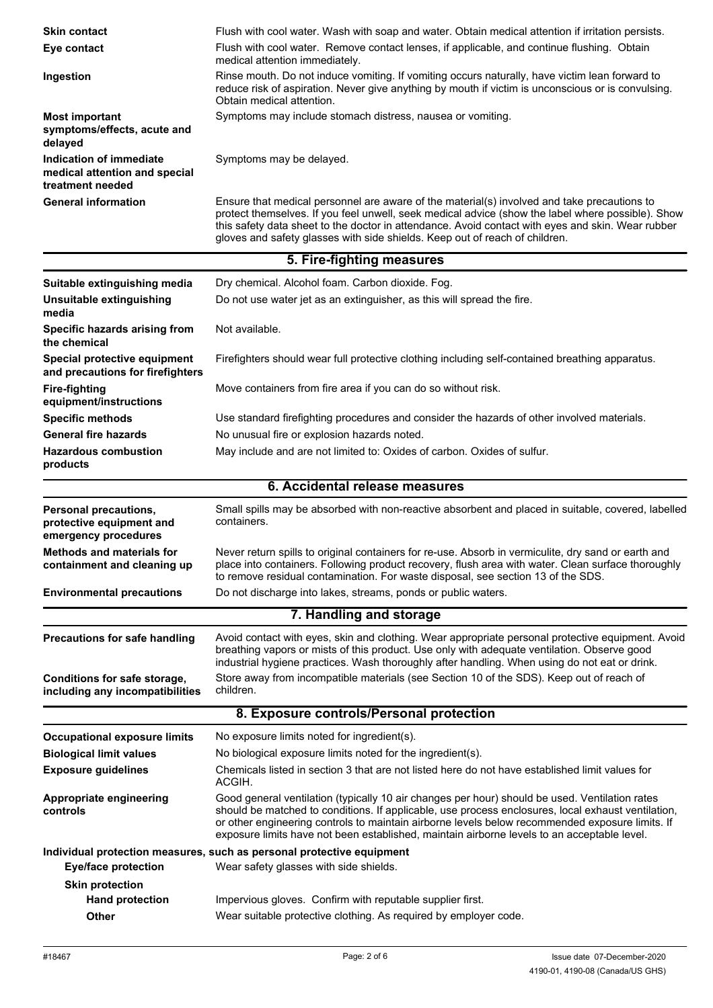| <b>Skin contact</b><br>Eye contact                                           | Flush with cool water. Wash with soap and water. Obtain medical attention if irritation persists.<br>Flush with cool water. Remove contact lenses, if applicable, and continue flushing. Obtain<br>medical attention immediately.                                                                                                                                                                      |  |
|------------------------------------------------------------------------------|--------------------------------------------------------------------------------------------------------------------------------------------------------------------------------------------------------------------------------------------------------------------------------------------------------------------------------------------------------------------------------------------------------|--|
| Ingestion                                                                    | Rinse mouth. Do not induce vomiting. If vomiting occurs naturally, have victim lean forward to<br>reduce risk of aspiration. Never give anything by mouth if victim is unconscious or is convulsing.<br>Obtain medical attention.                                                                                                                                                                      |  |
| <b>Most important</b><br>symptoms/effects, acute and<br>delayed              | Symptoms may include stomach distress, nausea or vomiting.                                                                                                                                                                                                                                                                                                                                             |  |
| Indication of immediate<br>medical attention and special<br>treatment needed | Symptoms may be delayed.                                                                                                                                                                                                                                                                                                                                                                               |  |
| <b>General information</b>                                                   | Ensure that medical personnel are aware of the material(s) involved and take precautions to<br>protect themselves. If you feel unwell, seek medical advice (show the label where possible). Show<br>this safety data sheet to the doctor in attendance. Avoid contact with eyes and skin. Wear rubber<br>gloves and safety glasses with side shields. Keep out of reach of children.                   |  |
|                                                                              | 5. Fire-fighting measures                                                                                                                                                                                                                                                                                                                                                                              |  |
| Suitable extinguishing media                                                 | Dry chemical. Alcohol foam. Carbon dioxide. Fog.                                                                                                                                                                                                                                                                                                                                                       |  |
| Unsuitable extinguishing<br>media                                            | Do not use water jet as an extinguisher, as this will spread the fire.                                                                                                                                                                                                                                                                                                                                 |  |
| Specific hazards arising from<br>the chemical                                | Not available.                                                                                                                                                                                                                                                                                                                                                                                         |  |
| Special protective equipment<br>and precautions for firefighters             | Firefighters should wear full protective clothing including self-contained breathing apparatus.                                                                                                                                                                                                                                                                                                        |  |
| <b>Fire-fighting</b><br>equipment/instructions                               | Move containers from fire area if you can do so without risk.                                                                                                                                                                                                                                                                                                                                          |  |
| <b>Specific methods</b>                                                      | Use standard firefighting procedures and consider the hazards of other involved materials.                                                                                                                                                                                                                                                                                                             |  |
| <b>General fire hazards</b>                                                  | No unusual fire or explosion hazards noted.                                                                                                                                                                                                                                                                                                                                                            |  |
| <b>Hazardous combustion</b><br>products                                      | May include and are not limited to: Oxides of carbon. Oxides of sulfur.                                                                                                                                                                                                                                                                                                                                |  |
|                                                                              |                                                                                                                                                                                                                                                                                                                                                                                                        |  |
|                                                                              | 6. Accidental release measures                                                                                                                                                                                                                                                                                                                                                                         |  |
| Personal precautions,<br>protective equipment and<br>emergency procedures    | Small spills may be absorbed with non-reactive absorbent and placed in suitable, covered, labelled<br>containers.                                                                                                                                                                                                                                                                                      |  |
| <b>Methods and materials for</b><br>containment and cleaning up              | Never return spills to original containers for re-use. Absorb in vermiculite, dry sand or earth and<br>place into containers. Following product recovery, flush area with water. Clean surface thoroughly<br>to remove residual contamination. For waste disposal, see section 13 of the SDS.                                                                                                          |  |
| <b>Environmental precautions</b>                                             | Do not discharge into lakes, streams, ponds or public waters.                                                                                                                                                                                                                                                                                                                                          |  |
|                                                                              | 7. Handling and storage                                                                                                                                                                                                                                                                                                                                                                                |  |
| <b>Precautions for safe handling</b>                                         | Avoid contact with eyes, skin and clothing. Wear appropriate personal protective equipment. Avoid<br>breathing vapors or mists of this product. Use only with adequate ventilation. Observe good<br>industrial hygiene practices. Wash thoroughly after handling. When using do not eat or drink.                                                                                                      |  |
| Conditions for safe storage,<br>including any incompatibilities              | Store away from incompatible materials (see Section 10 of the SDS). Keep out of reach of<br>children.                                                                                                                                                                                                                                                                                                  |  |
|                                                                              | 8. Exposure controls/Personal protection                                                                                                                                                                                                                                                                                                                                                               |  |
| <b>Occupational exposure limits</b>                                          | No exposure limits noted for ingredient(s).                                                                                                                                                                                                                                                                                                                                                            |  |
| <b>Biological limit values</b>                                               | No biological exposure limits noted for the ingredient(s).                                                                                                                                                                                                                                                                                                                                             |  |
| <b>Exposure guidelines</b>                                                   | Chemicals listed in section 3 that are not listed here do not have established limit values for<br>ACGIH.                                                                                                                                                                                                                                                                                              |  |
| Appropriate engineering<br>controls                                          | Good general ventilation (typically 10 air changes per hour) should be used. Ventilation rates<br>should be matched to conditions. If applicable, use process enclosures, local exhaust ventilation,<br>or other engineering controls to maintain airborne levels below recommended exposure limits. If<br>exposure limits have not been established, maintain airborne levels to an acceptable level. |  |
| <b>Eye/face protection</b>                                                   | Individual protection measures, such as personal protective equipment<br>Wear safety glasses with side shields.                                                                                                                                                                                                                                                                                        |  |
| <b>Skin protection</b>                                                       |                                                                                                                                                                                                                                                                                                                                                                                                        |  |
| <b>Hand protection</b>                                                       | Impervious gloves. Confirm with reputable supplier first.<br>Wear suitable protective clothing. As required by employer code.                                                                                                                                                                                                                                                                          |  |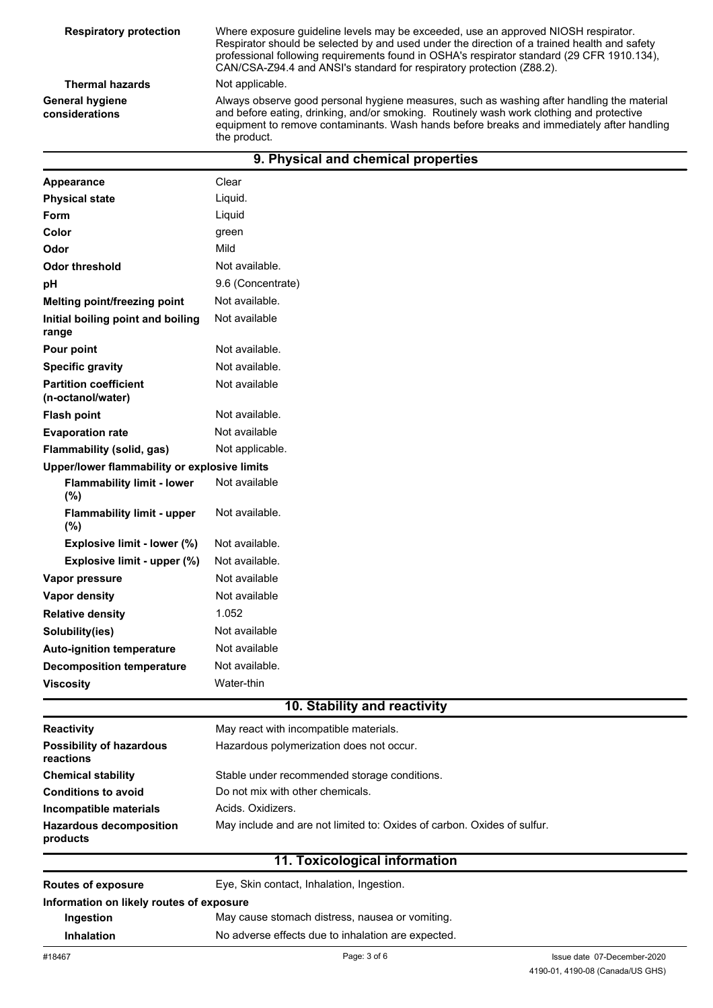| <b>Respiratory protection</b>     | Where exposure guideline levels may be exceeded, use an approved NIOSH respirator.<br>Respirator should be selected by and used under the direction of a trained health and safety<br>professional following requirements found in OSHA's respirator standard (29 CFR 1910.134),<br>CAN/CSA-Z94.4 and ANSI's standard for respiratory protection (Z88.2). |
|-----------------------------------|-----------------------------------------------------------------------------------------------------------------------------------------------------------------------------------------------------------------------------------------------------------------------------------------------------------------------------------------------------------|
| <b>Thermal hazards</b>            | Not applicable.                                                                                                                                                                                                                                                                                                                                           |
| General hygiene<br>considerations | Always observe good personal hygiene measures, such as washing after handling the material<br>and before eating, drinking, and/or smoking. Routinely wash work clothing and protective<br>equipment to remove contaminants. Wash hands before breaks and immediately after handling<br>the product.                                                       |

| 9. Physical and chemical properties               |                   |  |
|---------------------------------------------------|-------------------|--|
| Appearance                                        | Clear             |  |
| <b>Physical state</b>                             | Liquid.           |  |
| <b>Form</b>                                       | Liquid            |  |
| Color                                             | green             |  |
| Odor                                              | Mild              |  |
| <b>Odor threshold</b>                             | Not available.    |  |
| рH                                                | 9.6 (Concentrate) |  |
| Melting point/freezing point                      | Not available.    |  |
| Initial boiling point and boiling<br>range        | Not available     |  |
| Pour point                                        | Not available.    |  |
| <b>Specific gravity</b>                           | Not available.    |  |
| <b>Partition coefficient</b><br>(n-octanol/water) | Not available     |  |
| <b>Flash point</b>                                | Not available.    |  |
| <b>Evaporation rate</b>                           | Not available     |  |
| Flammability (solid, gas)                         | Not applicable.   |  |
| Upper/lower flammability or explosive limits      |                   |  |
| <b>Flammability limit - lower</b><br>(%)          | Not available     |  |
| <b>Flammability limit - upper</b><br>(%)          | Not available.    |  |
| Explosive limit - lower (%)                       | Not available.    |  |
| Explosive limit - upper (%)                       | Not available.    |  |
| Vapor pressure                                    | Not available     |  |
| Vapor density                                     | Not available     |  |
| <b>Relative density</b>                           | 1.052             |  |
| Solubility(ies)                                   | Not available     |  |
| <b>Auto-ignition temperature</b>                  | Not available     |  |
| <b>Decomposition temperature</b>                  | Not available.    |  |
| <b>Viscosity</b>                                  | Water-thin        |  |
| 10. Stability and reactivity                      |                   |  |

| <b>Reactivity</b>                            | May react with incompatible materials.                                  |
|----------------------------------------------|-------------------------------------------------------------------------|
| <b>Possibility of hazardous</b><br>reactions | Hazardous polymerization does not occur.                                |
| <b>Chemical stability</b>                    | Stable under recommended storage conditions.                            |
| <b>Conditions to avoid</b>                   | Do not mix with other chemicals.                                        |
| Incompatible materials                       | Acids, Oxidizers.                                                       |
| <b>Hazardous decomposition</b><br>products   | May include and are not limited to: Oxides of carbon. Oxides of sulfur. |

# **11. Toxicological information**

| <b>Routes of exposure</b>                | Eye, Skin contact, Inhalation, Ingestion.          |  |
|------------------------------------------|----------------------------------------------------|--|
| Information on likely routes of exposure |                                                    |  |
| Ingestion                                | May cause stomach distress, nausea or vomiting.    |  |
| <b>Inhalation</b>                        | No adverse effects due to inhalation are expected. |  |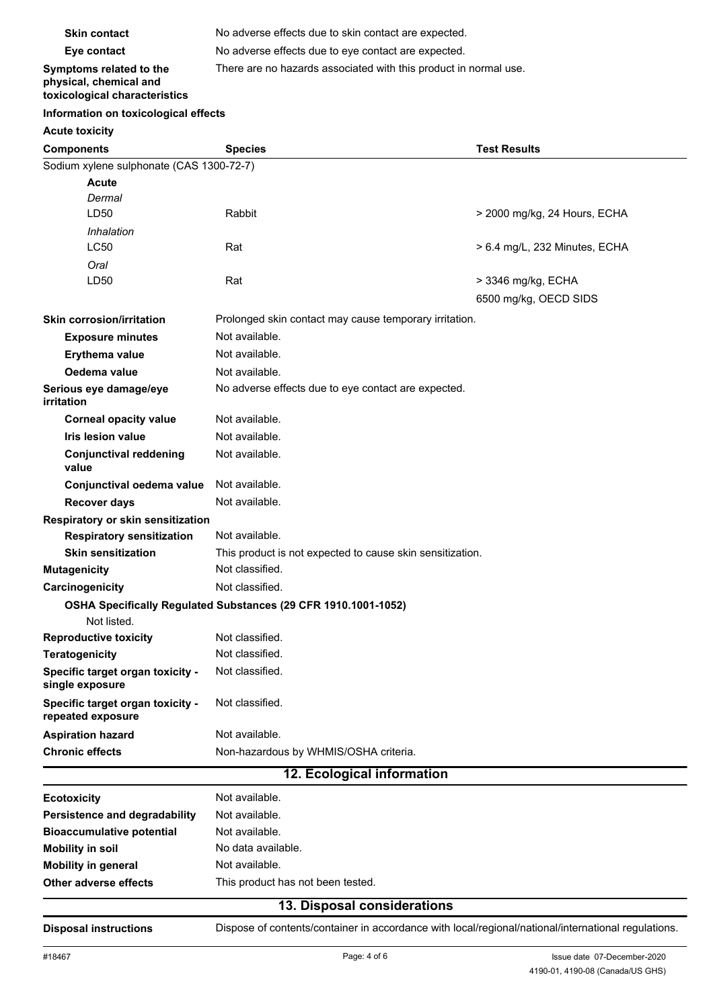| <b>Skin contact</b>                                                                | No adverse effects due to skin contact are expected.             |  |
|------------------------------------------------------------------------------------|------------------------------------------------------------------|--|
| Eye contact                                                                        | No adverse effects due to eye contact are expected.              |  |
| Symptoms related to the<br>physical, chemical and<br>toxicological characteristics | There are no hazards associated with this product in normal use. |  |

# **Information on toxicological effects**

## **Acute toxicity**

| <b>Components</b>                                     | <b>Species</b>                                                 | <b>Test Results</b>           |  |
|-------------------------------------------------------|----------------------------------------------------------------|-------------------------------|--|
| Sodium xylene sulphonate (CAS 1300-72-7)              |                                                                |                               |  |
| <b>Acute</b>                                          |                                                                |                               |  |
| Dermal                                                |                                                                |                               |  |
| LD50                                                  | Rabbit                                                         | > 2000 mg/kg, 24 Hours, ECHA  |  |
| Inhalation                                            |                                                                |                               |  |
| LC50                                                  | Rat                                                            | > 6.4 mg/L, 232 Minutes, ECHA |  |
| Oral                                                  |                                                                |                               |  |
| LD50                                                  | Rat                                                            | > 3346 mg/kg, ECHA            |  |
|                                                       |                                                                | 6500 mg/kg, OECD SIDS         |  |
| <b>Skin corrosion/irritation</b>                      | Prolonged skin contact may cause temporary irritation.         |                               |  |
| <b>Exposure minutes</b>                               | Not available.                                                 |                               |  |
| Erythema value                                        | Not available.                                                 |                               |  |
| Oedema value                                          | Not available.                                                 |                               |  |
| Serious eye damage/eye<br>irritation                  | No adverse effects due to eye contact are expected.            |                               |  |
| <b>Corneal opacity value</b>                          | Not available.                                                 |                               |  |
| Iris lesion value                                     | Not available.                                                 |                               |  |
| <b>Conjunctival reddening</b><br>value                | Not available.                                                 |                               |  |
| Conjunctival oedema value                             | Not available.                                                 |                               |  |
| <b>Recover days</b>                                   | Not available.                                                 |                               |  |
| Respiratory or skin sensitization                     |                                                                |                               |  |
| <b>Respiratory sensitization</b>                      | Not available.                                                 |                               |  |
| <b>Skin sensitization</b>                             | This product is not expected to cause skin sensitization.      |                               |  |
| <b>Mutagenicity</b>                                   | Not classified.                                                |                               |  |
| Carcinogenicity                                       | Not classified.                                                |                               |  |
| Not listed.                                           | OSHA Specifically Regulated Substances (29 CFR 1910.1001-1052) |                               |  |
| <b>Reproductive toxicity</b>                          | Not classified.                                                |                               |  |
| <b>Teratogenicity</b>                                 | Not classified.                                                |                               |  |
| Specific target organ toxicity -<br>single exposure   | Not classified.                                                |                               |  |
| Specific target organ toxicity -<br>repeated exposure | Not classified.                                                |                               |  |
| <b>Aspiration hazard</b>                              | Not available.                                                 |                               |  |
| <b>Chronic effects</b>                                | Non-hazardous by WHMIS/OSHA criteria.                          |                               |  |
|                                                       | 12. Ecological information                                     |                               |  |
| <b>Ecotoxicity</b>                                    | Not available.                                                 |                               |  |

| 49 Dianasal sanaideustiana       |                                   |  |
|----------------------------------|-----------------------------------|--|
| Other adverse effects            | This product has not been tested. |  |
| Mobility in general              | Not available.                    |  |
| Mobility in soil                 | No data available.                |  |
| <b>Bioaccumulative potential</b> | Not available.                    |  |
| Persistence and degradability    | Not available.                    |  |
| <b>Ecotoxicity</b>               | Not available.                    |  |

#### **13. Disposal considerations**

**Disposal instructions** Dispose of contents/container in accordance with local/regional/national/international regulations.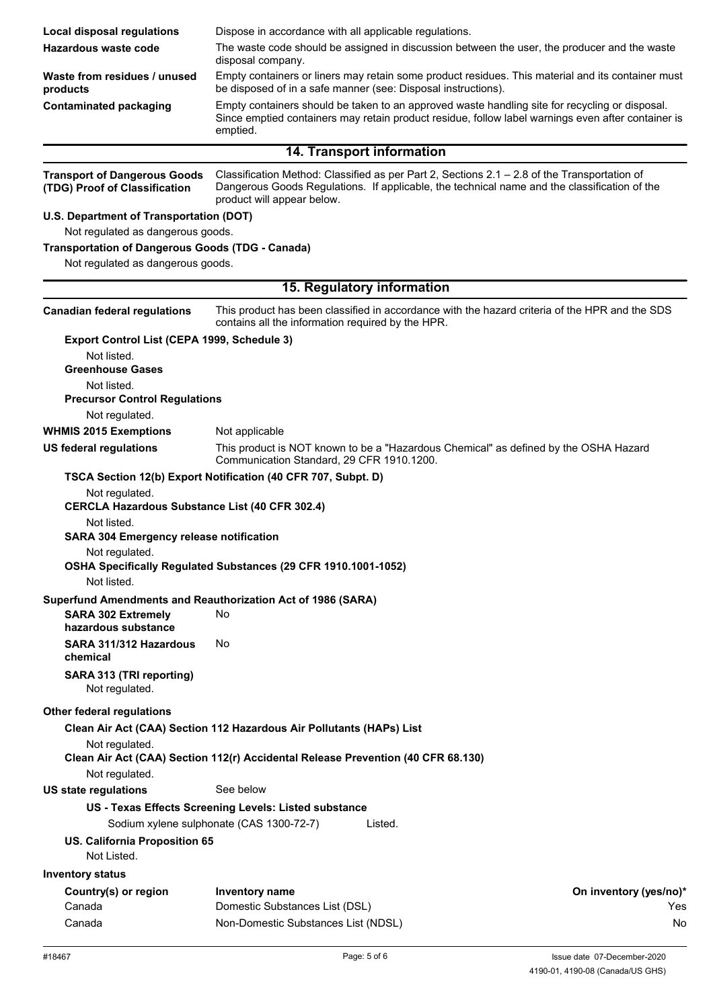| <b>Local disposal regulations</b>                                       | Dispose in accordance with all applicable regulations.                                                                                                                                                                     |                        |
|-------------------------------------------------------------------------|----------------------------------------------------------------------------------------------------------------------------------------------------------------------------------------------------------------------------|------------------------|
| Hazardous waste code                                                    | The waste code should be assigned in discussion between the user, the producer and the waste                                                                                                                               |                        |
|                                                                         | disposal company.                                                                                                                                                                                                          |                        |
| Waste from residues / unused<br>products                                | Empty containers or liners may retain some product residues. This material and its container must<br>be disposed of in a safe manner (see: Disposal instructions).                                                         |                        |
| <b>Contaminated packaging</b>                                           | Empty containers should be taken to an approved waste handling site for recycling or disposal.<br>Since emptied containers may retain product residue, follow label warnings even after container is<br>emptied.           |                        |
|                                                                         | 14. Transport information                                                                                                                                                                                                  |                        |
| <b>Transport of Dangerous Goods</b><br>(TDG) Proof of Classification    | Classification Method: Classified as per Part 2, Sections 2.1 - 2.8 of the Transportation of<br>Dangerous Goods Regulations. If applicable, the technical name and the classification of the<br>product will appear below. |                        |
| U.S. Department of Transportation (DOT)                                 |                                                                                                                                                                                                                            |                        |
| Not regulated as dangerous goods.                                       |                                                                                                                                                                                                                            |                        |
| <b>Transportation of Dangerous Goods (TDG - Canada)</b>                 |                                                                                                                                                                                                                            |                        |
| Not regulated as dangerous goods.                                       |                                                                                                                                                                                                                            |                        |
|                                                                         | 15. Regulatory information                                                                                                                                                                                                 |                        |
| <b>Canadian federal regulations</b>                                     | This product has been classified in accordance with the hazard criteria of the HPR and the SDS<br>contains all the information required by the HPR.                                                                        |                        |
| Export Control List (CEPA 1999, Schedule 3)                             |                                                                                                                                                                                                                            |                        |
| Not listed.<br><b>Greenhouse Gases</b>                                  |                                                                                                                                                                                                                            |                        |
| Not listed.                                                             |                                                                                                                                                                                                                            |                        |
| <b>Precursor Control Regulations</b>                                    |                                                                                                                                                                                                                            |                        |
| Not regulated.                                                          |                                                                                                                                                                                                                            |                        |
| <b>WHMIS 2015 Exemptions</b>                                            | Not applicable                                                                                                                                                                                                             |                        |
| <b>US federal regulations</b>                                           | This product is NOT known to be a "Hazardous Chemical" as defined by the OSHA Hazard<br>Communication Standard, 29 CFR 1910.1200.                                                                                          |                        |
|                                                                         | TSCA Section 12(b) Export Notification (40 CFR 707, Subpt. D)                                                                                                                                                              |                        |
| Not regulated.<br><b>CERCLA Hazardous Substance List (40 CFR 302.4)</b> |                                                                                                                                                                                                                            |                        |
| Not listed.<br><b>SARA 304 Emergency release notification</b>           |                                                                                                                                                                                                                            |                        |
| Not regulated.                                                          |                                                                                                                                                                                                                            |                        |
| Not listed.                                                             | OSHA Specifically Regulated Substances (29 CFR 1910.1001-1052)                                                                                                                                                             |                        |
|                                                                         | Superfund Amendments and Reauthorization Act of 1986 (SARA)                                                                                                                                                                |                        |
| <b>SARA 302 Extremely</b><br>hazardous substance                        | No                                                                                                                                                                                                                         |                        |
| SARA 311/312 Hazardous<br>chemical                                      | No                                                                                                                                                                                                                         |                        |
| SARA 313 (TRI reporting)<br>Not regulated.                              |                                                                                                                                                                                                                            |                        |
| Other federal regulations                                               |                                                                                                                                                                                                                            |                        |
|                                                                         | Clean Air Act (CAA) Section 112 Hazardous Air Pollutants (HAPs) List                                                                                                                                                       |                        |
| Not regulated.                                                          | Clean Air Act (CAA) Section 112(r) Accidental Release Prevention (40 CFR 68.130)                                                                                                                                           |                        |
| Not regulated.                                                          |                                                                                                                                                                                                                            |                        |
| <b>US state regulations</b>                                             | See below                                                                                                                                                                                                                  |                        |
|                                                                         | US - Texas Effects Screening Levels: Listed substance<br>Sodium xylene sulphonate (CAS 1300-72-7)<br>Listed.                                                                                                               |                        |
| US. California Proposition 65<br>Not Listed.                            |                                                                                                                                                                                                                            |                        |
| <b>Inventory status</b>                                                 |                                                                                                                                                                                                                            |                        |
| Country(s) or region                                                    | Inventory name                                                                                                                                                                                                             | On inventory (yes/no)* |
| Canada                                                                  | Domestic Substances List (DSL)                                                                                                                                                                                             | Yes                    |
| Canada                                                                  | Non-Domestic Substances List (NDSL)                                                                                                                                                                                        | No                     |